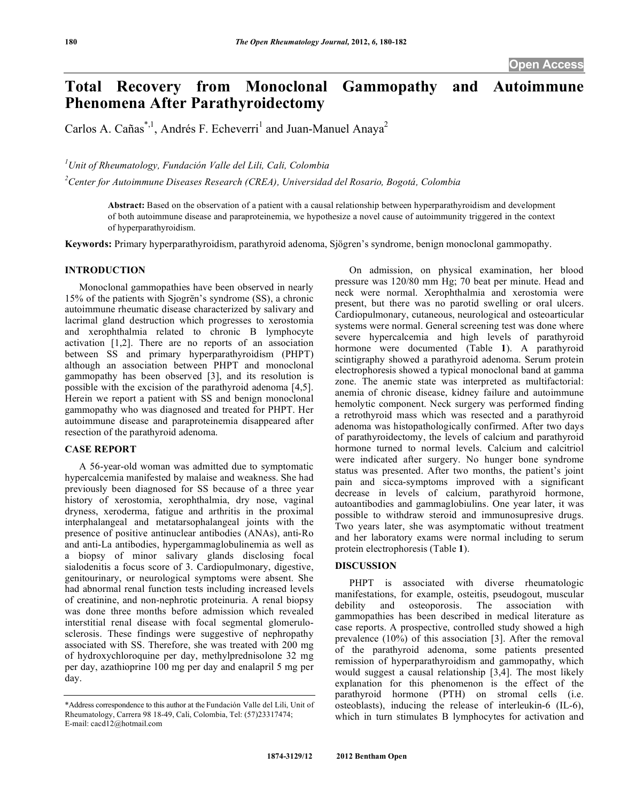# **Total Recovery from Monoclonal Gammopathy and Autoimmune Phenomena After Parathyroidectomy**

Carlos A. Cañas<sup>\*,1</sup>, Andrés F. Echeverri<sup>1</sup> and Juan-Manuel Anaya<sup>2</sup>

*1 Unit of Rheumatology, Fundación Valle del Lili, Cali, Colombia* 

*2 Center for Autoimmune Diseases Research (CREA), Universidad del Rosario, Bogotá, Colombia* 

**Abstract:** Based on the observation of a patient with a causal relationship between hyperparathyroidism and development of both autoimmune disease and paraproteinemia, we hypothesize a novel cause of autoimmunity triggered in the context of hyperparathyroidism.

**Keywords:** Primary hyperparathyroidism, parathyroid adenoma, Sjögren's syndrome, benign monoclonal gammopathy.

### **INTRODUCTION**

 Monoclonal gammopathies have been observed in nearly 15% of the patients with Sjogrën's syndrome (SS), a chronic autoimmune rheumatic disease characterized by salivary and lacrimal gland destruction which progresses to xerostomia and xerophthalmia related to chronic B lymphocyte activation [1,2]. There are no reports of an association between SS and primary hyperparathyroidism (PHPT) although an association between PHPT and monoclonal gammopathy has been observed [3], and its resolution is possible with the excision of the parathyroid adenoma [4,5]. Herein we report a patient with SS and benign monoclonal gammopathy who was diagnosed and treated for PHPT. Her autoimmune disease and paraproteinemia disappeared after resection of the parathyroid adenoma.

## **CASE REPORT**

 A 56-year-old woman was admitted due to symptomatic hypercalcemia manifested by malaise and weakness. She had previously been diagnosed for SS because of a three year history of xerostomia, xerophthalmia, dry nose, vaginal dryness, xeroderma, fatigue and arthritis in the proximal interphalangeal and metatarsophalangeal joints with the presence of positive antinuclear antibodies (ANAs), anti-Ro and anti-La antibodies, hypergammaglobulinemia as well as a biopsy of minor salivary glands disclosing focal sialodenitis a focus score of 3. Cardiopulmonary, digestive, genitourinary, or neurological symptoms were absent. She had abnormal renal function tests including increased levels of creatinine, and non-nephrotic proteinuria. A renal biopsy was done three months before admission which revealed interstitial renal disease with focal segmental glomerulosclerosis. These findings were suggestive of nephropathy associated with SS. Therefore, she was treated with 200 mg of hydroxychloroquine per day, methylprednisolone 32 mg per day, azathioprine 100 mg per day and enalapril 5 mg per day.

 On admission, on physical examination, her blood pressure was 120/80 mm Hg; 70 beat per minute. Head and neck were normal. Xerophthalmia and xerostomia were present, but there was no parotid swelling or oral ulcers. Cardiopulmonary, cutaneous, neurological and osteoarticular systems were normal. General screening test was done where severe hypercalcemia and high levels of parathyroid hormone were documented (Table **1**). A parathyroid scintigraphy showed a parathyroid adenoma. Serum protein electrophoresis showed a typical monoclonal band at gamma zone. The anemic state was interpreted as multifactorial: anemia of chronic disease, kidney failure and autoimmune hemolytic component. Neck surgery was performed finding a retrothyroid mass which was resected and a parathyroid adenoma was histopathologically confirmed. After two days of parathyroidectomy, the levels of calcium and parathyroid hormone turned to normal levels. Calcium and calcitriol were indicated after surgery. No hunger bone syndrome status was presented. After two months, the patient's joint pain and sicca-symptoms improved with a significant decrease in levels of calcium, parathyroid hormone, autoantibodies and gammaglobiulins. One year later, it was possible to withdraw steroid and immunosupresive drugs. Two years later, she was asymptomatic without treatment and her laboratory exams were normal including to serum protein electrophoresis (Table **1**).

### **DISCUSSION**

PHPT is associated with diverse rheumatologic manifestations, for example, osteitis, pseudogout, muscular debility and osteoporosis. The association with gammopathies has been described in medical literature as case reports. A prospective, controlled study showed a high prevalence (10%) of this association [3]. After the removal of the parathyroid adenoma, some patients presented remission of hyperparathyroidism and gammopathy, which would suggest a causal relationship [3,4]. The most likely explanation for this phenomenon is the effect of the parathyroid hormone (PTH) on stromal cells (i.e. osteoblasts), inducing the release of interleukin-6 (IL-6), which in turn stimulates B lymphocytes for activation and

<sup>\*</sup>Address correspondence to this author at the Fundación Valle del Lili, Unit of Rheumatology, Carrera 98 18-49, Cali, Colombia, Tel: (57)23317474; E-mail: cacd12@hotmail.com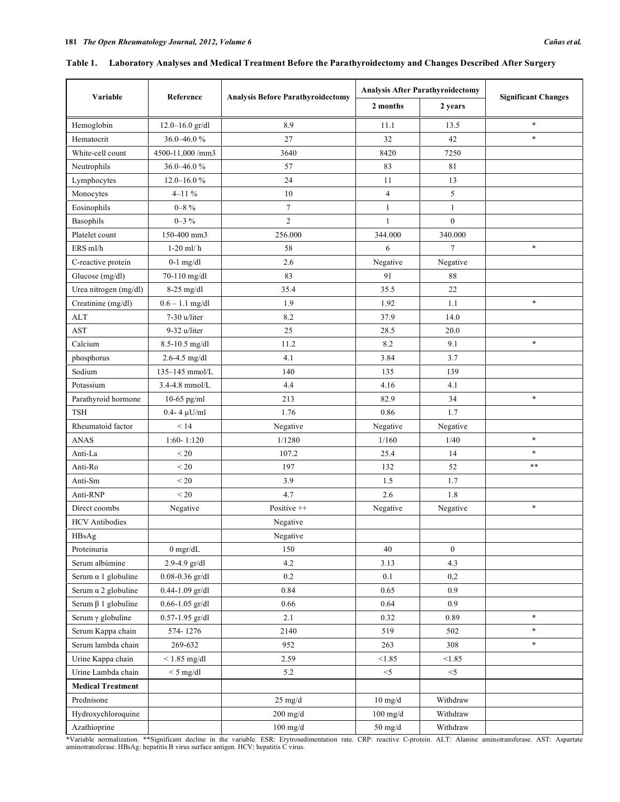|                            |                     |                                          | <b>Analysis After Parathyroidectomy</b> |                  |                            |  |
|----------------------------|---------------------|------------------------------------------|-----------------------------------------|------------------|----------------------------|--|
| Variable                   | Reference           | <b>Analysis Before Parathyroidectomy</b> | 2 months                                | 2 years          | <b>Significant Changes</b> |  |
| Hemoglobin                 | $12.0 - 16.0$ gr/dl | 8.9                                      | 11.1                                    | 13.5             | $\ast$                     |  |
| Hematocrit                 | 36.0-46.0%          | 27                                       | 32                                      | 42               | $\ast$                     |  |
| White-cell count           | 4500-11,000/mm3     | 3640                                     | 8420                                    | 7250             |                            |  |
| Neutrophils                | 36.0-46.0%          | 57                                       | 83                                      | 81               |                            |  |
| Lymphocytes                | $12.0 - 16.0 %$     | 24                                       | 11                                      | 13               |                            |  |
| Monocytes                  | $4 - 11\%$          | 10                                       | $\overline{4}$                          | 5                |                            |  |
| Eosinophils                | $0\text{--}8$ $\%$  | $\boldsymbol{7}$                         | $\mathbf{1}$                            | $\mathbf{1}$     |                            |  |
| Basophils                  | $0 - 3 \%$          | $\overline{c}$                           | $\mathbf{1}$                            | $\boldsymbol{0}$ |                            |  |
| Platelet count             | 150-400 mm3         | 256.000                                  | 344.000                                 | 340.000          |                            |  |
| ERS ml/h                   | $1-20$ ml/ $h$      | 58                                       | 6                                       | $\overline{7}$   | $\ast$                     |  |
| C-reactive protein         | $0-1$ mg/dl         | 2.6                                      | Negative                                | Negative         |                            |  |
| Glucose (mg/dl)            | 70-110 mg/dl        | 83                                       | 91                                      | 88               |                            |  |
| Urea nitrogen (mg/dl)      | $8-25$ mg/dl        | 35.4                                     | 35.5                                    | 22               |                            |  |
| Creatinine (mg/dl)         | $0.6 - 1.1$ mg/dl   | 1.9                                      | 1.92                                    | 1.1              | $\ast$                     |  |
| $\mathbf{ALT}$             | 7-30 u/liter        | 8.2                                      | 37.9                                    | 14.0             |                            |  |
| AST                        | 9-32 u/liter        | 25                                       | 28.5                                    | 20.0             |                            |  |
| Calcium                    | 8.5-10.5 mg/dl      | 11.2                                     | 8.2                                     | 9.1              | $\ast$                     |  |
| phosphorus                 | 2.6-4.5 mg/dl       | 4.1                                      | 3.84                                    | 3.7              |                            |  |
| Sodium                     | 135-145 mmol/L      | 140                                      | 135                                     | 139              |                            |  |
| Potassium                  | 3.4-4.8 mmol/L      | 4.4                                      | 4.16                                    | 4.1              |                            |  |
| Parathyroid hormone        | 10-65 pg/ml         | 213                                      | 82.9                                    | 34               | $\ast$                     |  |
| <b>TSH</b>                 | $0.4 - 4 \mu U/ml$  | 1.76                                     | 0.86                                    | 1.7              |                            |  |
| Rheumatoid factor          | < 14                | Negative                                 | Negative                                | Negative         |                            |  |
| <b>ANAS</b>                | $1:60 - 1:120$      | 1/1280                                   | 1/160                                   | 1/40             | $\ast$                     |  |
| Anti-La                    | $\leq 20$           | 107.2                                    | 25.4                                    | 14               | $\ast$                     |  |
| Anti-Ro                    | < 20<br>197         |                                          | 132                                     | 52               | $***$                      |  |
| Anti-Sm                    | $\leq 20$<br>3.9    |                                          | 1.5                                     | 1.7              |                            |  |
| $\leq 20$<br>Anti-RNP      |                     | 4.7                                      | 2.6                                     | 1.8              |                            |  |
| Direct coombs              | Negative            |                                          | Negative                                | Negative         | $\ast$                     |  |
| <b>HCV</b> Antibodies      |                     | Negative                                 |                                         |                  |                            |  |
| HBsAg                      |                     | Negative                                 |                                         |                  |                            |  |
| Proteinuria                | $0$ mgr/dL          | 150                                      | 40                                      | $\boldsymbol{0}$ |                            |  |
| Serum albúmine             | 2.9-4.9 gr/dl       | $4.2\,$                                  | 3.13                                    | 4.3              |                            |  |
| Serum $\alpha$ 1 globuline | $0.08 - 0.36$ gr/dl | $0.2\,$                                  | 0.1                                     | 0,2              |                            |  |
| Serum $\alpha$ 2 globuline | $0.44 - 1.09$ gr/dl | 0.84                                     | 0.65                                    | 0.9              |                            |  |
| Serum $\beta$ 1 globuline  | $0.66 - 1.05$ gr/dl | 0.66                                     | 0.64                                    | 0.9              |                            |  |
| Serum $\gamma$ globuline   | $0.57 - 1.95$ gr/dl | 2.1                                      | 0.32                                    | 0.89             | $\ast$                     |  |
| Serum Kappa chain          | 574-1276            | 2140                                     | 519                                     | 502              | $\ast$                     |  |
| Serum lambda chain         | 269-632             | 952                                      | 263                                     | 308              | $\ast$                     |  |
| Urine Kappa chain          | $< 1.85$ mg/dl      | 2.59                                     | < 1.85                                  | < 1.85           |                            |  |
| Urine Lambda chain         | $<$ 5 mg/dl         | $5.2\,$                                  | $<\!\!5$                                | $<\!\!5$         |                            |  |
| <b>Medical Treatment</b>   |                     |                                          |                                         |                  |                            |  |
| Prednisone                 |                     | $25 \text{ mg/d}$                        | $10$ mg/d                               | Withdraw         |                            |  |
| Hydroxychloroquine         |                     | $200$ mg/d                               | $100$ mg/d                              | Withdraw         |                            |  |
| Azathioprine               |                     | $100$ mg/d                               | $50 \ \mathrm{mg/d}$                    | Withdraw         |                            |  |

|  | Table 1. Laboratory Analyses and Medical Treatment Before the Parathyroidectomy and Changes Described After Surgery |  |  |
|--|---------------------------------------------------------------------------------------------------------------------|--|--|
|  |                                                                                                                     |  |  |

\*Variable normalization. \*\*Significant decline in the variable. ESR: Erytrosedimentation rate. CRP: reactive C-protein. ALT: Alanine aminotransferase. AST: Aspartate<br>aminotransferase. HBsAg: hepatitis B virus surface antig